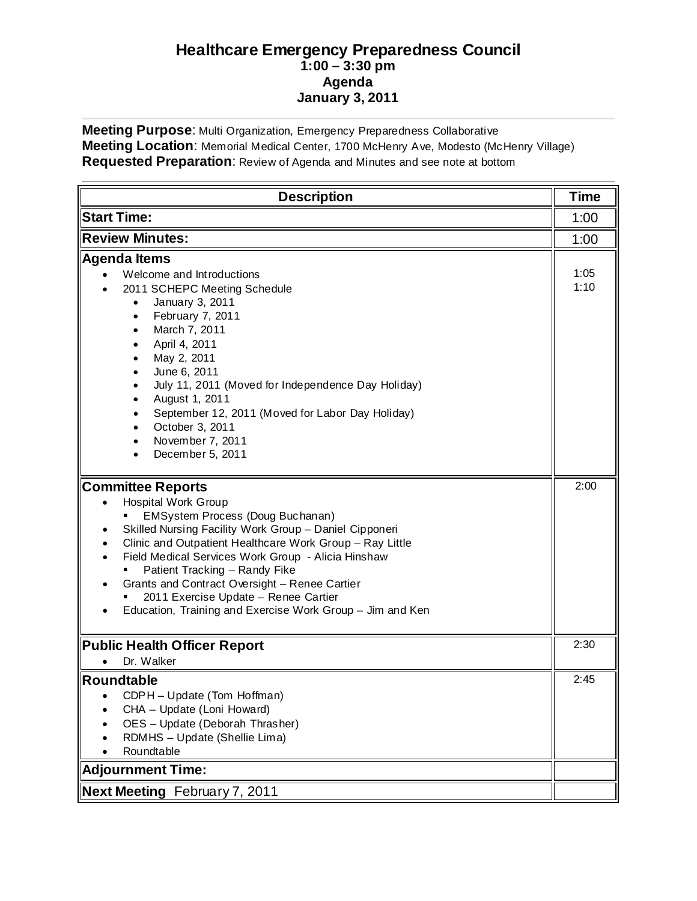## **Healthcare Emergency Preparedness Council 1:00 – 3:30 pm Agenda January 3, 2011**

**Meeting Purpose**: Multi Organization, Emergency Preparedness Collaborative **Meeting Location**: Memorial Medical Center, 1700 McHenry Ave, Modesto (McHenry Village) **Requested Preparation**: Review of Agenda and Minutes and see note at bottom

| <b>Description</b>                                                                                                                                                                                                                                                                                                                                                                                                                                                                                                             | <b>Time</b>  |
|--------------------------------------------------------------------------------------------------------------------------------------------------------------------------------------------------------------------------------------------------------------------------------------------------------------------------------------------------------------------------------------------------------------------------------------------------------------------------------------------------------------------------------|--------------|
| <b>Start Time:</b>                                                                                                                                                                                                                                                                                                                                                                                                                                                                                                             | 1:00         |
| <b>Review Minutes:</b>                                                                                                                                                                                                                                                                                                                                                                                                                                                                                                         | 1:00         |
| <b>Agenda Items</b><br>Welcome and Introductions<br>2011 SCHEPC Meeting Schedule<br>January 3, 2011<br>$\bullet$<br>February 7, 2011<br>$\bullet$<br>March 7, 2011<br>$\bullet$<br>April 4, 2011<br>$\bullet$<br>May 2, 2011<br>$\bullet$<br>June 6, 2011<br>$\bullet$<br>July 11, 2011 (Moved for Independence Day Holiday)<br>$\bullet$<br>August 1, 2011<br>$\bullet$<br>September 12, 2011 (Moved for Labor Day Holiday)<br>$\bullet$<br>October 3, 2011<br>$\bullet$<br>November 7, 2011<br>$\bullet$<br>December 5, 2011 | 1:05<br>1:10 |
| <b>Committee Reports</b><br><b>Hospital Work Group</b><br>EMSystem Process (Doug Buchanan)<br>Skilled Nursing Facility Work Group - Daniel Cipponeri<br>Clinic and Outpatient Healthcare Work Group - Ray Little<br>Field Medical Services Work Group - Alicia Hinshaw<br>Patient Tracking - Randy Fike<br>Grants and Contract Oversight - Renee Cartier<br>2011 Exercise Update - Renee Cartier<br>Education, Training and Exercise Work Group - Jim and Ken                                                                  | 2:00         |
| <b>Public Health Officer Report</b><br>Dr. Walker<br>$\bullet$                                                                                                                                                                                                                                                                                                                                                                                                                                                                 | 2:30         |
| <b>Roundtable</b><br>CDPH - Update (Tom Hoffman)<br>CHA - Update (Loni Howard)<br>OES - Update (Deborah Thrasher)<br>RDMHS - Update (Shellie Lima)<br>Roundtable                                                                                                                                                                                                                                                                                                                                                               | 2:45         |
| <b>Adjournment Time:</b>                                                                                                                                                                                                                                                                                                                                                                                                                                                                                                       |              |
| Next Meeting February 7, 2011                                                                                                                                                                                                                                                                                                                                                                                                                                                                                                  |              |